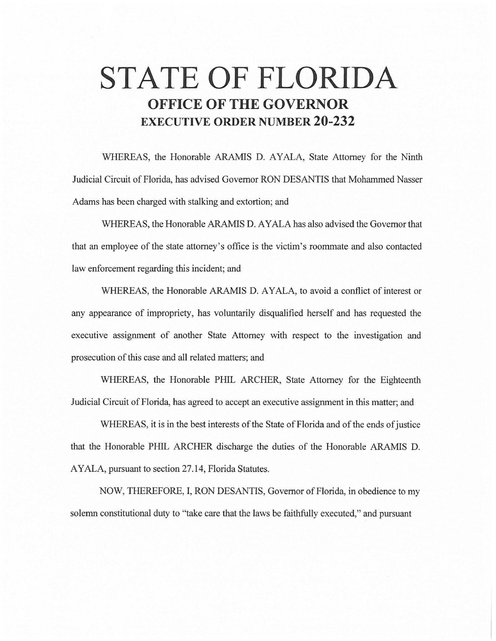# **STATE OF FLORIDA OFFICE OF THE GOVERNOR EXECUTIVE ORDER NUMBER 20-232**

WHEREAS, the Honorable ARAMIS D. AYALA, State Attorney for the Ninth Judicial Circuit of Florida, has advised Governor RON DESANTIS that Mohammed Nasser Adams has been charged with stalking and extortion; and

WHEREAS, the Honorable ARAMIS D. AYALA has also advised the Governor that that an employee of the state attorney's office is the victim's roommate and also contacted law enforcement regarding this incident; and

WHEREAS, the Honorable ARAMIS D. AYALA, to avoid a conflict of interest or any appearance of impropriety, has voluntarily disqualified herself and has requested the executive assignment of another State Attorney with respect to the investigation and prosecution of this case and all related matters; and

WHEREAS, the Honorable PHIL ARCHER, State Attorney for the Eighteenth Judicial Circuit of Florida, has agreed to accept an executive assignment in this matter; and

WHEREAS, it is in the best interests of the State of Florida and of the ends of justice that the Honorable PHIL ARCHER discharge the duties of the Honorable ARAMIS D. AYALA, pursuant to section 27 .14, Florida Statutes.

NOW, THEREFORE, I, RON DESANTIS, Governor of Florida, in obedience to my solemn constitutional duty to "take care that the laws be faithfully executed," and pursuant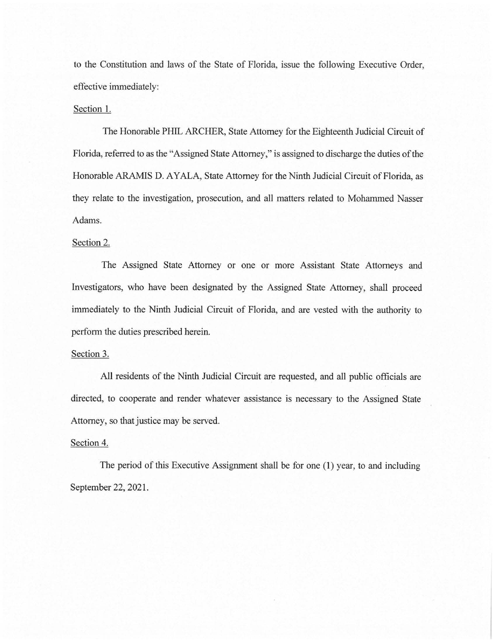to the Constitution and laws of the State of Florida, issue the following Executive Order, effective immediately:

## Section 1.

The Honorable PHIL ARCHER, State Attorney for the Eighteenth Judicial Circuit of Florida, referred to as the "Assigned State Attorney," is assigned to discharge the duties of the Honorable ARAMIS D. AYALA, State Attorney for the Ninth Judicial Circuit of Florida, as they relate to the investigation, prosecution, and all matters related to Mohammed Nasser Adams.

#### Section 2.

The Assigned State Attorney or one or more Assistant State Attorneys and Investigators, who have been designated by the Assigned State Attorney, shall proceed immediately to the Ninth Judicial Circuit of Florida, and are vested with the authority to perform the duties prescribed herein.

### Section 3.

All residents of the Ninth Judicial Circuit are requested, and all public officials are directed, to cooperate and render whatever assistance is necessary to the Assigned State Attorney, so that justice may be served.

## Section 4.

The period of this Executive Assignment shall be for one (1) year, to and including September 22, 2021.